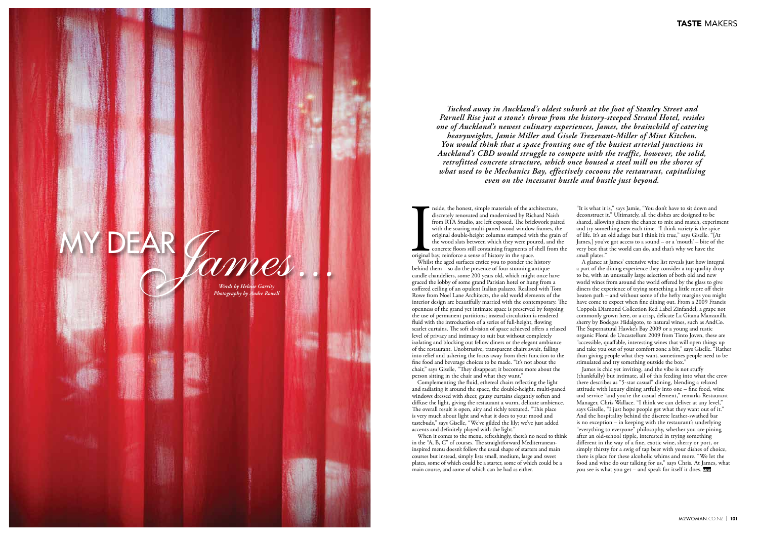The original Whils nside, the honest, simple materials of the architecture, discretely renovated and modernised by Richard Naish from RTA Studio, are left exposed. The brickwork paired with the soaring multi-paned wood window frames, the original double-height columns stamped with the grain of the wood slats between which they were poured, and the concrete floors still containing fragments of shell from the original bay, reinforce a sense of history in the space.

Whilst the aged surfaces entice you to ponder the history behind them – so do the presence of four stunning antique candle chandeliers, some 200 years old, which might once have graced the lobby of some grand Parisian hotel or hung from a coffered ceiling of an opulent Italian palazzo. Realised with Tom Rowe from Noel Lane Architects, the old world elements of the interior design are beautifully married with the contemporary. The openness of the grand yet intimate space is preserved by forgoing the use of permanent partitions; instead circulation is rendered fluid with the introduction of a series of full-height, flowing scarlet curtains. The soft division of space achieved offers a relaxed level of privacy and intimacy to suit but without completely isolating and blocking out fellow diners or the elegant ambiance of the restaurant. Unobtrusive, transparent chairs await, falling into relief and ushering the focus away from their function to the fine food and beverage choices to be made. "It's not about the chair," says Giselle, "They disappear; it becomes more about the person sitting in the chair and what they want."

Complementing the fluid, ethereal chairs reflecting the light and radiating it around the space, the double-height, multi-paned windows dressed with sheer, gauzy curtains elegantly soften and diffuse the light, giving the restaurant a warm, delicate ambience. The overall result is open, airy and richly textured. "This place is very much about light and what it does to your mood and tastebuds," says Giselle, "We've gilded the lily; we've just added accents and definitely played with the light."

James is chic yet inviting, and the vibe is not stuffy (thankfully) but intimate, all of this feeding into what the crew there describes as "5-star casual" dining, blending a relaxed attitude with luxury dining artfully into one – fine food, wine and service "and you're the casual element," remarks Restaurant Manager, Chris Wallace. "I think we can deliver at any level," says Giselle, "I just hope people get what they want out of it." And the hospitality behind the discrete leather-swathed bar is no exception – in keeping with the restaurant's underlying "everything to everyone" philosophy, whether you are pining after an old-school tipple, interested in trying something different in the way of a fine, exotic wine, sherry or port, or simply thirsty for a swig of tap beer with your dishes of choice, there is place for these alcoholic whims and more. "We let the food and wine do our talking for us," says Chris. At James, what you see is what you get – and speak for itself it does. They

When it comes to the menu, refreshingly, there's no need to think in the "A, B, C" of courses. The straightforward Mediterraneaninspired menu doesn't follow the usual shape of starters and main courses but instead, simply lists small, medium, large and sweet plates, some of which could be a starter, some of which could be a main course, and some of which can be had as either.

"It is what it is," says Jamie, "You don't have to sit down and deconstruct it." Ultimately, all the dishes are designed to be shared, allowing diners the chance to mix and match, experiment and try something new each time. "I think variety is the spice of life. It's an old adage but I think it's true," says Giselle. "[At James,] you've got access to a sound – or a 'mouth' – bite of the very best that the world can do, and that's why we have the small plates."

A glance at James' extensive wine list reveals just how integral a part of the dining experience they consider a top quality drop to be, with an unusually large selection of both old and new world wines from around the world offered by the glass to give diners the experience of trying something a little more off their beaten path – and without some of the hefty margins you might have come to expect when fine dining out. From a 2009 Francis Coppola Diamond Collection Red Label Zinfandel, a grape not commonly grown here, or a crisp, delicate La Gitana Manzanilla sherry by Bodegas Hidalgoto, to natural wines, such as AndCo. The Supernatural Hawke's Bay 2009 or a young and rustic organic Floral de Uncastellum 2009 from Tinto Joven, these are "accessible, quaffable, interesting wines that will open things up and take you out of your comfort zone a bit," says Giselle. "Rather than giving people what they want, sometimes people need to be stimulated and try something outside the box."

*Tucked away in Auckland's oldest suburb at the foot of Stanley Street and Parnell Rise just a stone's throw from the history-steeped Strand Hotel, resides one of Auckland's newest culinary experiences, James, the brainchild of catering heavyweights, Jamie Miller and Gisele Trezevant-Miller of Mint Kitchen. You would think that a space fronting one of the busiest arterial junctions in Auckland's CBD would struggle to compete with the traffic, however, the solid, retrofitted concrete structure, which once housed a steel mill on the shores of what used to be Mechanics Bay, effectively cocoons the restaurant, capitalising even on the incessant hustle and bustle just beyond.*

# My dear *James... Words by Heloise Garrity*

*Photography by Andre Rowell*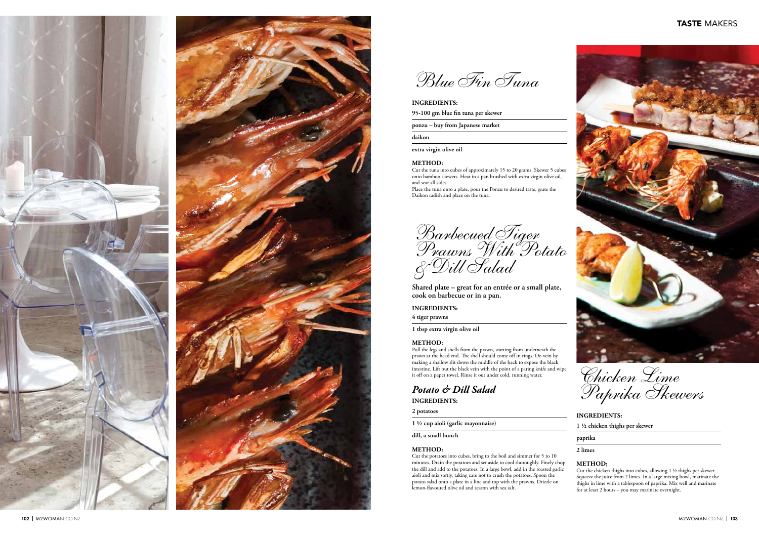# **Ingred ients:**

**4 tiger prawns**

**1 tbsp extra virgin olive oil**

## **Method:**

Pull the legs and shells from the prawn, starting from underneath the prawn at the head end. The shell should come off in rings. De-vein by making a shallow slit down the middle of the back to expose the black intestine. Lift out the black vein with the point of a paring knife and wipe it off on a paper towel. Rinse it out under cold, running water.

# *Potato & Dill Salad*

**Ingred ients:**

**2 potatoes**

**1 ½ cup aioli (garlic mayonnaise)** 

**dill, a small bunch**

# **Method:**

Cut the potatoes into cubes, bring to the boil and simmer for 5 to 10 minutes. Drain the potatoes and set aside to cool thoroughly. Finely chop the dill and add to the potatoes. In a large bowl, add in the roasted garlic aioli and mix softly, taking care not to crush the potatoes. Spoon the potato salad onto a plate in a line and top with the prawns. Drizzle on lemon-flavoured olive oil and season with sea salt.

*Barbecued Tiger Prawns With Potato & Dill Salad*

**Shared plate – great for an entrée or a small plate, cook on barbecue or in a pan.**

**1 ½ chicken thighs per skewer**

# **paprika**

# **2 limes**

# **Method;**

Cut the chicken thighs into cubes, allowing 1 ½ thighs per skewer. Squeeze the juice from 2 limes. In a large mixing bowl, marinate the thighs in lime with a tablespoon of paprika. Mix well and marinate for at least 2 hours – you may marinate overnight.

*Chicken Lime Paprika Skewers*

# **INGREDIENTS:**

# **Ingred ients:**

**95-100 gm blue fin tuna per skewer**

**ponzu – buy from Japanese market**

## **daikon**

**extra virgin olive oil**

# **Method:**

Cut the tuna into cubes of approximately 15 to 20 grams. Skewer 5 cubes onto bamboo skewers. Heat in a pan brushed with extra virgin olive oil, and sear all sides.

Place the tuna onto a plate, pour the Ponzu to desired taste, grate the Daikon radish and place on the tuna.





*Blue Fin Tuna*

# TASTE MAKERS

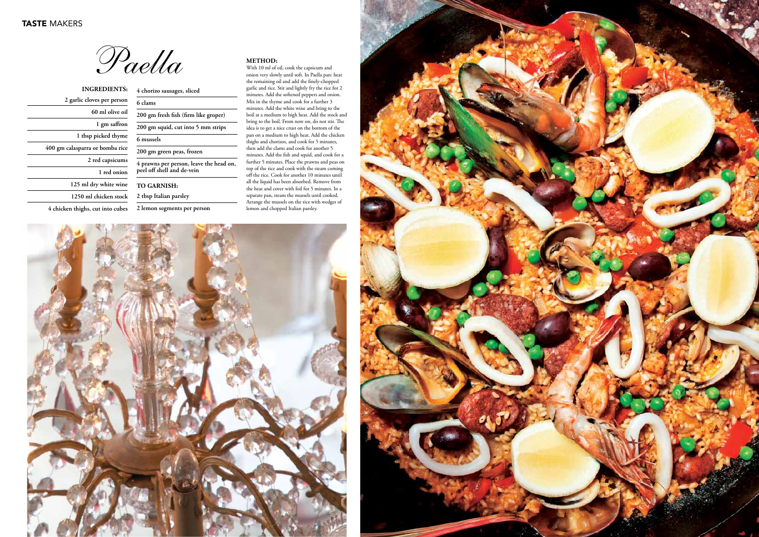| <b>INGREDIENTS:</b>              |
|----------------------------------|
| 2 garlic cloves per person       |
| 60 ml olive oil                  |
| 1 gm saffron                     |
| 1 tbsp picked thyme              |
| 400 gm calasparra or bomba rice  |
| 2 red capsicums                  |
| 1 red onion                      |
| 125 ml dry white wine            |
| 1250 ml chicken stock            |
| 4 chicken thighs, cut into cubes |

| 4 chorizo sausages, sliced                                            |  |
|-----------------------------------------------------------------------|--|
| 6 clams                                                               |  |
| 200 gm fresh fish (firm like groper)                                  |  |
| 200 gm squid, cut into 5 mm strips                                    |  |
| 6 mussels                                                             |  |
| 200 gm green peas, frozen                                             |  |
| 4 prawns per person, leave the head on,<br>peel off shell and de-vein |  |
| <b>TO GARNISH:</b>                                                    |  |
| 2 tbsp Italian parsley                                                |  |
| 2 lemon segments per person                                           |  |

*Paella* **Method:**



With 10 ml of oil, cook the capsicum and onion very slowly until soft. In Paella pan: heat the remaining oil and add the finely-chopped garlic and rice. Stir and lightly fry the rice for 2 minutes. Add the softened peppers and onion. Mix in the thyme and cook for a further 3 minutes. Add the white wine and bring to the boil at a medium to high heat. Add the stock and bring to the boil. From now on, do not stir. The idea is to get a nice crust on the bottom of the pan on a medium to high heat. Add the chicken thighs and chorizos, and cook for 5 minutes, then add the clams and cook for another 5 minutes. Add the fish and squid, and cook for a further 5 minutes. Place the prawns and peas on top of the rice and cook with the steam coming off the rice. Cook for another 10 minutes until all the liquid has been absorbed. Remove from the heat and cover with foil for 5 minutes. In a separate pan, steam the mussels until cooked. Arrange the mussels on the rice with wedges of lemon and chopped Italian parsley.

![](_page_2_Picture_6.jpeg)